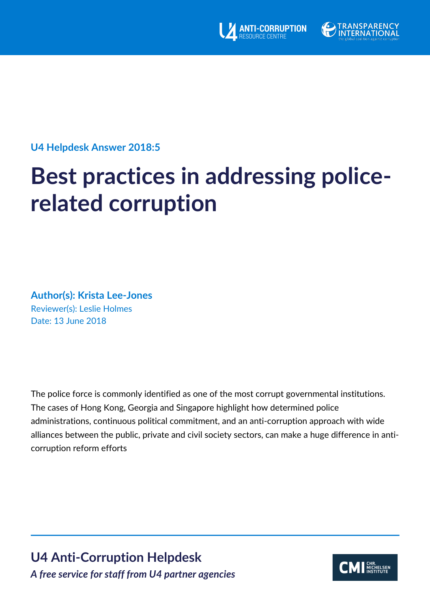



## **U4 Helpdesk Answer 2018:5**

# **Best practices in addressing policerelated corruption**

## **Author(s): Krista Lee-Jones** Reviewer(s): Leslie Holmes Date: 13 June 2018

The police force is commonly identified as one of the most corrupt governmental institutions. The cases of Hong Kong, Georgia and Singapore highlight how determined police administrations, continuous political commitment, and an anti-corruption approach with wide alliances between the public, private and civil society sectors, can make a huge difference in anticorruption reform efforts

**U4 Anti-Corruption Helpdesk** *A free service for staff from U4 partner agencies*

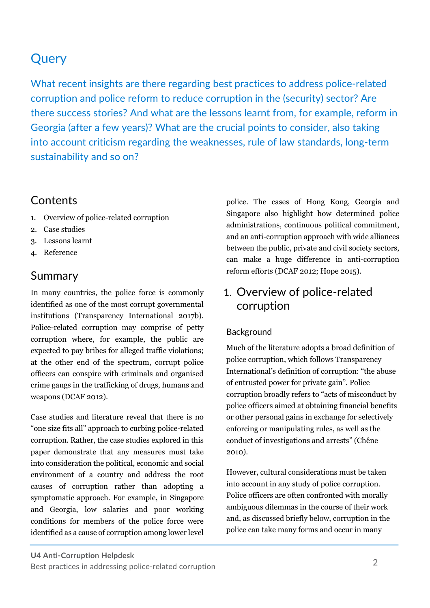## **Query**

What recent insights are there regarding best practices to address police-related corruption and police reform to reduce corruption in the (security) sector? Are there success stories? And what are the lessons learnt from, for example, reform in Georgia (after a few years)? What are the crucial points to consider, also taking into account criticism regarding the weaknesses, rule of law standards, long-term sustainability and so on?

## **Contents**

- 1. Overview of police-related corruption
- 2. Case studies
- 3. Lessons learnt
- 4. Reference

## **Summary**

In many countries, the police force is commonly identified as one of the most corrupt governmental institutions (Transparency International 2017b). Police-related corruption may comprise of petty corruption where, for example, the public are expected to pay bribes for alleged traffic violations; at the other end of the spectrum, corrupt police officers can conspire with criminals and organised crime gangs in the trafficking of drugs, humans and weapons (DCAF 2012).

Case studies and literature reveal that there is no "one size fits all" approach to curbing police-related corruption. Rather, the case studies explored in this paper demonstrate that any measures must take into consideration the political, economic and social environment of a country and address the root causes of corruption rather than adopting a symptomatic approach. For example, in Singapore and Georgia, low salaries and poor working conditions for members of the police force were identified as a cause of corruption among lower level

police. The cases of Hong Kong, Georgia and Singapore also highlight how determined police administrations, continuous political commitment, and an anti-corruption approach with wide alliances between the public, private and civil society sectors, can make a huge difference in anti-corruption reform efforts (DCAF 2012; Hope 2015).

## 1. Overview of police-related corruption

## Background

Much of the literature adopts a broad definition of police corruption, which follows Transparency International's definition of corruption: "the abuse of entrusted power for private gain". Police corruption broadly refers to "acts of misconduct by police officers aimed at obtaining financial benefits or other personal gains in exchange for selectively enforcing or manipulating rules, as well as the conduct of investigations and arrests" (Chêne 2010).

However, cultural considerations must be taken into account in any study of police corruption. Police officers are often confronted with morally ambiguous dilemmas in the course of their work and, as discussed briefly below, corruption in the police can take many forms and occur in many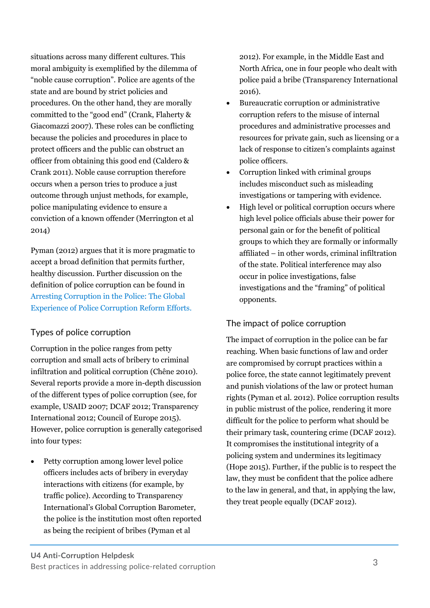situations across many different cultures. This moral ambiguity is exemplified by the dilemma of "noble cause corruption". Police are agents of the state and are bound by strict policies and procedures. On the other hand, they are morally committed to the "good end" (Crank, Flaherty & Giacomazzi 2007). These roles can be conflicting because the policies and procedures in place to protect officers and the public can obstruct an officer from obtaining this good end (Caldero & Crank 2011). Noble cause corruption therefore occurs when a person tries to produce a just outcome through unjust methods, for example, police manipulating evidence to ensure a conviction of a known offender (Merrington et al 2014)

Pyman (2012) argues that it is more pragmatic to accept a broad definition that permits further, healthy discussion. Further discussion on the definition of police corruption can be found in Arresting Corruption in the Police: The Global Experience of Police Corruption Reform Efforts.

## [Types of police corruption](http://ti-defence.org/wp-content/uploads/2016/03/2012-11_Arresting_Corruption_In_The_Police.pdf)

[Corruption in the police ranges from petty](http://ti-defence.org/wp-content/uploads/2016/03/2012-11_Arresting_Corruption_In_The_Police.pdf) [corruption and small a](http://ti-defence.org/wp-content/uploads/2016/03/2012-11_Arresting_Corruption_In_The_Police.pdf)cts of bribery to criminal infiltration and political corruption (Chêne 2010). Several reports provide a more in-depth discussion of the different types of police corruption (see, for example, USAID 2007; DCAF 2012; Transparency International 2012; Council of Europe 2015). However, police corruption is generally categorised into four types:

• Petty corruption among lower level police officers includes acts of bribery in everyday interactions with citizens (for example, by traffic police). According to Transparency International's Global Corruption Barometer, the police is the institution most often reported as being the recipient of bribes (Pyman et al

2012). For example, in the Middle East and North Africa, one in four people who dealt with police paid a bribe (Transparency International 2016).

- Bureaucratic corruption or administrative corruption refers to the misuse of internal procedures and administrative processes and resources for private gain, such as licensing or a lack of response to citizen's complaints against police officers.
- Corruption linked with criminal groups includes misconduct such as misleading investigations or tampering with evidence.
- High level or political corruption occurs where high level police officials abuse their power for personal gain or for the benefit of political groups to which they are formally or informally affiliated – in other words, criminal infiltration of the state. Political interference may also occur in police investigations, false investigations and the "framing" of political opponents.

## The impact of police corruption

The impact of corruption in the police can be far reaching. When basic functions of law and order are compromised by corrupt practices within a police force, the state cannot legitimately prevent and punish violations of the law or protect human rights (Pyman et al. 2012). Police corruption results in public mistrust of the police, rendering it more difficult for the police to perform what should be their primary task, countering crime (DCAF 2012). It compromises the institutional integrity of a policing system and undermines its legitimacy (Hope 2015). Further, if the public is to respect the law, they must be confident that the police adhere to the law in general, and that, in applying the law, they treat people equally (DCAF 2012).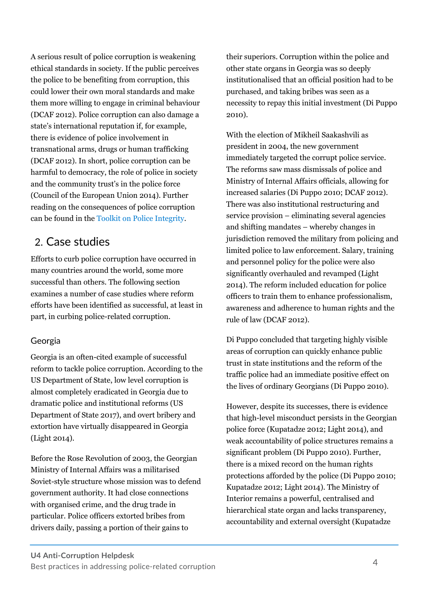A serious result of police corruption is weakening ethical standards in society. If the public perceives the police to be benefiting from corruption, this could lower their own moral standards and make them more willing to engage in criminal behaviour (DCAF 2012). Police corruption can also damage a state's international reputation if, for example, there is evidence of police involvement in transnational arms, drugs or human trafficking (DCAF 2012). In short, police corruption can be harmful to democracy, the role of police in society and the community trust's in the police force (Council of the European Union 2014). Further reading on the consequences of police corruption can be found in the Toolkit on Police Integrit[y.](https://www.dcaf.ch/toolkit-police-integrity)

## 2. [Case studies](https://www.dcaf.ch/toolkit-police-integrity)

[Efforts to](https://www.dcaf.ch/toolkit-police-integrity) curb police corruption have occurred in many countries around the world, some more successful than others. The following section examines a number of case studies where reform efforts have been identified as successful, at least in part, in curbing police-related corruption.

## Georgia

Georgia is an often-cited example of successful reform to tackle police corruption. According to the US Department of State, low level corruption is almost completely eradicated in Georgia due to dramatic police and institutional reforms (US Department of State 2017), and overt bribery and extortion have virtually disappeared in Georgia (Light 2014).

Before the Rose Revolution of 2003, the Georgian Ministry of Internal Affairs was a militarised Soviet-style structure whose mission was to defend government authority. It had close connections with organised crime, and the drug trade in particular. Police officers extorted bribes from drivers daily, passing a portion of their gains to

their superiors. Corruption within the police and other state organs in Georgia was so deeply institutionalised that an official position had to be purchased, and taking bribes was seen as a necessity to repay this initial investment (Di Puppo 2010).

With the election of Mikheil Saakashvili as president in 2004, the new government immediately targeted the corrupt police service. The reforms saw mass dismissals of police and Ministry of Internal Affairs officials, allowing for increased salaries (Di Puppo 2010; DCAF 2012). There was also institutional restructuring and service provision – eliminating several agencies and shifting mandates – whereby changes in jurisdiction removed the military from policing and limited police to law enforcement. Salary, training and personnel policy for the police were also significantly overhauled and revamped (Light 2014). The reform included education for police officers to train them to enhance professionalism, awareness and adherence to human rights and the rule of law (DCAF 2012).

Di Puppo concluded that targeting highly visible areas of corruption can quickly enhance public trust in state institutions and the reform of the traffic police had an immediate positive effect on the lives of ordinary Georgians (Di Puppo 2010).

However, despite its successes, there is evidence that high-level misconduct persists in the Georgian police force (Kupatadze 2012; Light 2014), and weak accountability of police structures remains a significant problem (Di Puppo 2010). Further, there is a mixed record on the human rights protections afforded by the police (Di Puppo 2010; Kupatadze 2012; Light 2014). The Ministry of Interior remains a powerful, centralised and hierarchical state organ and lacks transparency, accountability and external oversight (Kupatadze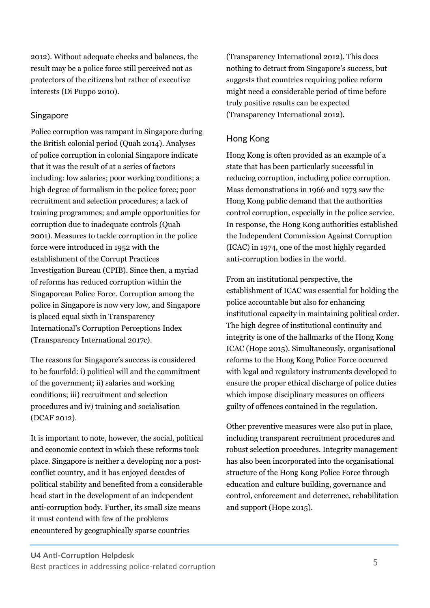2012). Without adequate checks and balances, the result may be a police force still perceived not as protectors of the citizens but rather of executive interests (Di Puppo 2010).

## Singapore

Police corruption was rampant in Singapore during the British colonial period (Quah 2014). Analyses of police corruption in colonial Singapore indicate that it was the result of at a series of factors including: low salaries; poor working conditions; a high degree of formalism in the police force; poor recruitment and selection procedures; a lack of training programmes; and ample opportunities for corruption due to inadequate controls (Quah 2001). Measures to tackle corruption in the police force were introduced in 1952 with the establishment of the Corrupt Practices Investigation Bureau (CPIB). Since then, a myriad of reforms has reduced corruption within the Singaporean Police Force. Corruption among the police in Singapore is now very low, and Singapore is placed equal sixth in Transparency International's Corruption Perceptions Index (Transparency International 2017c).

The reasons for Singapore's success is considered to be fourfold: i) political will and the commitment of the government; ii) salaries and working conditions; iii) recruitment and selection procedures and iv) training and socialisation (DCAF 2012).

It is important to note, however, the social, political and economic context in which these reforms took place. Singapore is neither a developing nor a postconflict country, and it has enjoyed decades of political stability and benefited from a considerable head start in the development of an independent anti-corruption body. Further, its small size means it must contend with few of the problems encountered by geographically sparse countries

(Transparency International 2012). This does nothing to detract from Singapore's success, but suggests that countries requiring police reform might need a considerable period of time before truly positive results can be expected (Transparency International 2012).

## Hong Kong

Hong Kong is often provided as an example of a state that has been particularly successful in reducing corruption, including police corruption. Mass demonstrations in 1966 and 1973 saw the Hong Kong public demand that the authorities control corruption, especially in the police service. In response, the Hong Kong authorities established the Independent Commission Against Corruption (ICAC) in 1974, one of the most highly regarded anti-corruption bodies in the world.

From an institutional perspective, the establishment of ICAC was essential for holding the police accountable but also for enhancing institutional capacity in maintaining political order. The high degree of institutional continuity and integrity is one of the hallmarks of the Hong Kong ICAC (Hope 2015). Simultaneously, organisational reforms to the Hong Kong Police Force occurred with legal and regulatory instruments developed to ensure the proper ethical discharge of police duties which impose disciplinary measures on officers guilty of offences contained in the regulation.

Other preventive measures were also put in place, including transparent recruitment procedures and robust selection procedures. Integrity management has also been incorporated into the organisational structure of the Hong Kong Police Force through education and culture building, governance and control, enforcement and deterrence, rehabilitation and support (Hope 2015).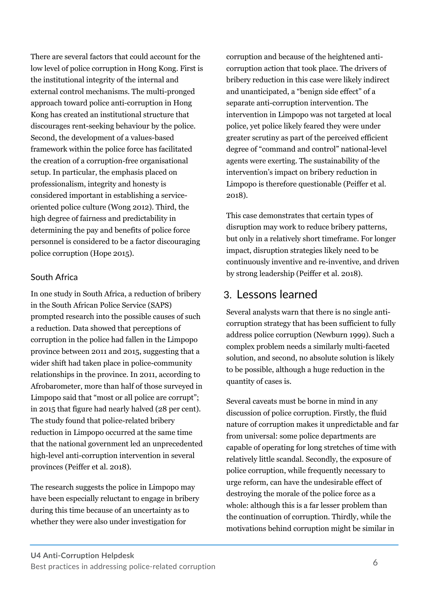There are several factors that could account for the low level of police corruption in Hong Kong. First is the institutional integrity of the internal and external control mechanisms. The multi-pronged approach toward police anti-corruption in Hong Kong has created an institutional structure that discourages rent-seeking behaviour by the police. Second, the development of a values-based framework within the police force has facilitated the creation of a corruption-free organisational setup. In particular, the emphasis placed on professionalism, integrity and honesty is considered important in establishing a serviceoriented police culture (Wong 2012). Third, the high degree of fairness and predictability in determining the pay and benefits of police force personnel is considered to be a factor discouraging police corruption (Hope 2015).

## South Africa

In one study in South Africa, a reduction of bribery in the South African Police Service (SAPS) prompted research into the possible causes of such a reduction. Data showed that perceptions of corruption in the police had fallen in the Limpopo province between 2011 and 2015, suggesting that a wider shift had taken place in police-community relationships in the province. In 2011, according to Afrobarometer, more than half of those surveyed in Limpopo said that "most or all police are corrupt"; in 2015 that figure had nearly halved (28 per cent). The study found that police-related bribery reduction in Limpopo occurred at the same time that the national government led an unprecedented high-level anti-corruption intervention in several provinces (Peiffer et al. 2018).

The research suggests the police in Limpopo may have been especially reluctant to engage in bribery during this time because of an uncertainty as to whether they were also under investigation for

corruption and because of the heightened anticorruption action that took place. The drivers of bribery reduction in this case were likely indirect and unanticipated, a "benign side effect" of a separate anti-corruption intervention. The intervention in Limpopo was not targeted at local police, yet police likely feared they were under greater scrutiny as part of the perceived efficient degree of "command and control" national-level agents were exerting. The sustainability of the intervention's impact on bribery reduction in Limpopo is therefore questionable (Peiffer et al. 2018).

This case demonstrates that certain types of disruption may work to reduce bribery patterns, but only in a relatively short timeframe. For longer impact, disruption strategies likely need to be continuously inventive and re-inventive, and driven by strong leadership (Peiffer et al. 2018).

## 3. Lessons learned

Several analysts warn that there is no single anticorruption strategy that has been sufficient to fully address police corruption (Newburn 1999). Such a complex problem needs a similarly multi-faceted solution, and second, no absolute solution is likely to be possible, although a huge reduction in the quantity of cases is.

Several caveats must be borne in mind in any discussion of police corruption. Firstly, the fluid nature of corruption makes it unpredictable and far from universal: some police departments are capable of operating for long stretches of time with relatively little scandal. Secondly, the exposure of police corruption, while frequently necessary to urge reform, can have the undesirable effect of destroying the morale of the police force as a whole: although this is a far lesser problem than the continuation of corruption. Thirdly, while the motivations behind corruption might be similar in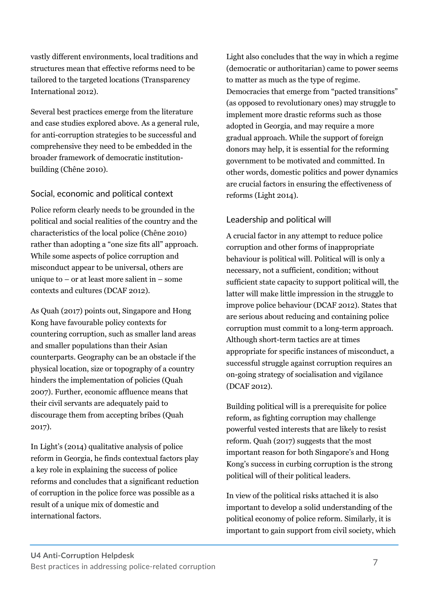vastly different environments, local traditions and structures mean that effective reforms need to be tailored to the targeted locations (Transparency International 2012).

Several best practices emerge from the literature and case studies explored above. As a general rule, for anti-corruption strategies to be successful and comprehensive they need to be embedded in the broader framework of democratic institutionbuilding (Chêne 2010).

## Social, economic and political context

Police reform clearly needs to be grounded in the political and social realities of the country and the characteristics of the local police (Chêne 2010) rather than adopting a "one size fits all" approach. While some aspects of police corruption and misconduct appear to be universal, others are unique to – or at least more salient in – some contexts and cultures (DCAF 2012).

As Quah (2017) points out, Singapore and Hong Kong have favourable policy contexts for countering corruption, such as smaller land areas and smaller populations than their Asian counterparts. Geography can be an obstacle if the physical location, size or topography of a country hinders the implementation of policies (Quah 2007). Further, economic affluence means that their civil servants are adequately paid to discourage them from accepting bribes (Quah 2017).

In Light's (2014) qualitative analysis of police reform in Georgia, he finds contextual factors play a key role in explaining the success of police reforms and concludes that a significant reduction of corruption in the police force was possible as a result of a unique mix of domestic and international factors.

Light also concludes that the way in which a regime (democratic or authoritarian) came to power seems to matter as much as the type of regime. Democracies that emerge from "pacted transitions" (as opposed to revolutionary ones) may struggle to implement more drastic reforms such as those adopted in Georgia, and may require a more gradual approach. While the support of foreign donors may help, it is essential for the reforming government to be motivated and committed. In other words, domestic politics and power dynamics are crucial factors in ensuring the effectiveness of reforms (Light 2014).

## Leadership and political will

A crucial factor in any attempt to reduce police corruption and other forms of inappropriate behaviour is political will. Political will is only a necessary, not a sufficient, condition; without sufficient state capacity to support political will, the latter will make little impression in the struggle to improve police behaviour (DCAF 2012). States that are serious about reducing and containing police corruption must commit to a long-term approach. Although short-term tactics are at times appropriate for specific instances of misconduct, a successful struggle against corruption requires an on-going strategy of socialisation and vigilance (DCAF 2012).

Building political will is a prerequisite for police reform, as fighting corruption may challenge powerful vested interests that are likely to resist reform. Quah (2017) suggests that the most important reason for both Singapore's and Hong Kong's success in curbing corruption is the strong political will of their political leaders.

In view of the political risks attached it is also important to develop a solid understanding of the political economy of police reform. Similarly, it is important to gain support from civil society, which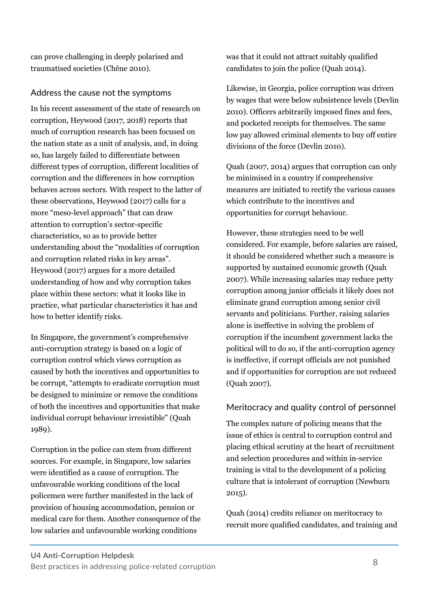can prove challenging in deeply polarised and traumatised societies (Chêne 2010).

## Address the cause not the symptoms

In his recent assessment of the state of research on corruption, Heywood (2017, 2018) reports that much of corruption research has been focused on the nation state as a unit of analysis, and, in doing so, has largely failed to differentiate between different types of corruption, different localities of corruption and the differences in how corruption behaves across sectors. With respect to the latter of these observations, Heywood (2017) calls for a more "meso-level approach" that can draw attention to corruption's sector-specific characteristics, so as to provide better understanding about the "modalities of corruption and corruption related risks in key areas". Heywood (2017) argues for a more detailed understanding of how and why corruption takes place within these sectors: what it looks like in practice, what particular characteristics it has and how to better identify risks.

In Singapore, the government's comprehensive anti-corruption strategy is based on a logic of corruption control which views corruption as caused by both the incentives and opportunities to be corrupt, "attempts to eradicate corruption must be designed to minimize or remove the conditions of both the incentives and opportunities that make individual corrupt behaviour irresistible" (Quah 1989).

Corruption in the police can stem from different sources. For example, in Singapore, low salaries were identified as a cause of corruption. The unfavourable working conditions of the local policemen were further manifested in the lack of provision of housing accommodation, pension or medical care for them. Another consequence of the low salaries and unfavourable working conditions

was that it could not attract suitably qualified candidates to join the police (Quah 2014).

Likewise, in Georgia, police corruption was driven by wages that were below subsistence levels (Devlin 2010). Officers arbitrarily imposed fines and fees, and pocketed receipts for themselves. The same low pay allowed criminal elements to buy off entire divisions of the force (Devlin 2010).

Quah (2007, 2014) argues that corruption can only be minimised in a country if comprehensive measures are initiated to rectify the various causes which contribute to the incentives and opportunities for corrupt behaviour.

However, these strategies need to be well considered. For example, before salaries are raised, it should be considered whether such a measure is supported by sustained economic growth (Quah 2007). While increasing salaries may reduce petty corruption among junior officials it likely does not eliminate grand corruption among senior civil servants and politicians. Further, raising salaries alone is ineffective in solving the problem of corruption if the incumbent government lacks the political will to do so, if the anti-corruption agency is ineffective, if corrupt officials are not punished and if opportunities for corruption are not reduced (Quah 2007).

#### Meritocracy and quality control of personnel

The complex nature of policing means that the issue of ethics is central to corruption control and placing ethical scrutiny at the heart of recruitment and selection procedures and within in-service training is vital to the development of a policing culture that is intolerant of corruption (Newburn 2015).

Quah (2014) credits reliance on meritocracy to recruit more qualified candidates, and training and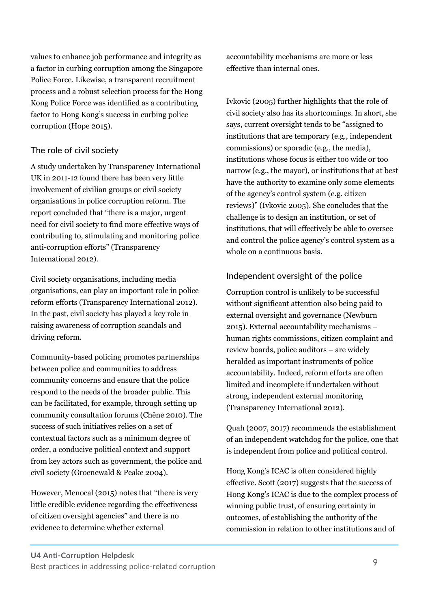values to enhance job performance and integrity as a factor in curbing corruption among the Singapore Police Force. Likewise, a transparent recruitment process and a robust selection process for the Hong Kong Police Force was identified as a contributing factor to Hong Kong's success in curbing police corruption (Hope 2015).

## The role of civil society

A study undertaken by Transparency International UK in 2011-12 found there has been very little involvement of civilian groups or civil society organisations in police corruption reform. The report concluded that "there is a major, urgent need for civil society to find more effective ways of contributing to, stimulating and monitoring police anti-corruption efforts" (Transparency International 2012).

Civil society organisations, including media organisations, can play an important role in police reform efforts (Transparency International 2012). In the past, civil society has played a key role in raising awareness of corruption scandals and driving reform.

Community-based policing promotes partnerships between police and communities to address community concerns and ensure that the police respond to the needs of the broader public. This can be facilitated, for example, through setting up community consultation forums (Chêne 2010). The success of such initiatives relies on a set of contextual factors such as a minimum degree of order, a conducive political context and support from key actors such as government, the police and civil society (Groenewald & Peake 2004).

However, Menocal (2015) notes that "there is very little credible evidence regarding the effectiveness of citizen oversight agencies" and there is no evidence to determine whether external

accountability mechanisms are more or less effective than internal ones.

Ivkovic (2005) further highlights that the role of civil society also has its shortcomings. In short, she says, current oversight tends to be "assigned to institutions that are temporary (e.g., independent commissions) or sporadic (e.g., the media), institutions whose focus is either too wide or too narrow (e.g., the mayor), or institutions that at best have the authority to examine only some elements of the agency's control system (e.g. citizen reviews)" (Ivkovic 2005). She concludes that the challenge is to design an institution, or set of institutions, that will effectively be able to oversee and control the police agency's control system as a whole on a continuous basis.

## Independent oversight of the police

Corruption control is unlikely to be successful without significant attention also being paid to external oversight and governance (Newburn 2015). External accountability mechanisms – human rights commissions, citizen complaint and review boards, police auditors – are widely heralded as important instruments of police accountability. Indeed, reform efforts are often limited and incomplete if undertaken without strong, independent external monitoring (Transparency International 2012).

Quah (2007, 2017) recommends the establishment of an independent watchdog for the police, one that is independent from police and political control.

Hong Kong's ICAC is often considered highly effective. Scott (2017) suggests that the success of Hong Kong's ICAC is due to the complex process of winning public trust, of ensuring certainty in outcomes, of establishing the authority of the commission in relation to other institutions and of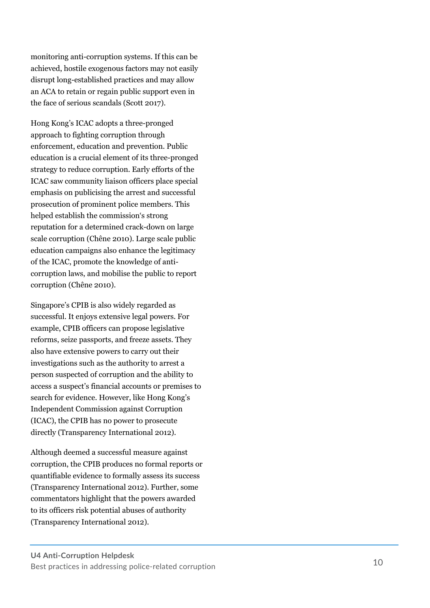monitoring anti -corruption systems. If this can be achieved, hostile exogenous factors may not easily disrupt long -established practices and may allow an ACA to retain or regain public support even in the face of serious scandals (Scott 2017).

Hong Kong's ICAC adopts a three -pronged approach to fighting corruption through enforcement, education and prevention. Public education is a crucial element of its three -pronged strategy to reduce corruption. Early efforts of the ICAC saw community liaison officers place special emphasis on publicising the arrest and successful prosecution of prominent police members. This helped establish the commission's strong reputation for a determined crack -down on large scale corruption (Chêne 2010). Large scale public education campaigns also enhance the legitimacy of the ICAC, promote the knowledge of anti corruption laws, and mobilise the public to report corruption (Chêne 2010).

Singapore's CPIB is also widely regarded as successful. It enjoys extensive legal powers. For example, CPIB officers can propose legislative reforms, seize passports, and freeze assets. They also have extensive powers to carry out their investigations such as the authority to arrest a person suspected of corruption and the ability to access a suspect's financial accounts or premises to search for evidence. However, like Hong Kong's Independent Commission against Corruption (ICAC), the CPIB has no power to prosecute directly (Transparency International 2012).

Although deemed a successful measure against corruption, the CPIB produces no formal reports or quantifiable evidence to formally assess its success (Transparency International 2012). Further, some commentators highlight that the powers awarded to its officers risk potential abuses of authority (Transparency International 2012).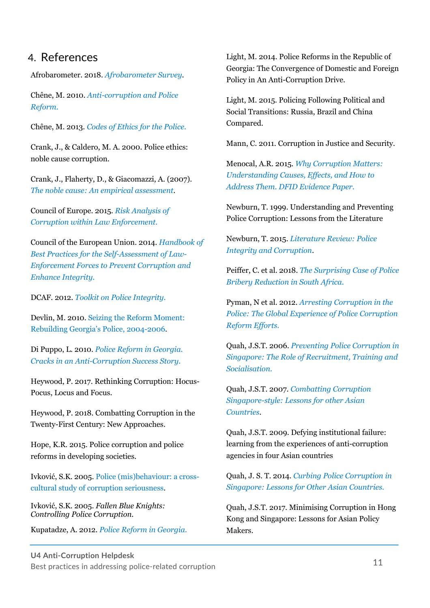## 4. References

Afrobarometer. 2018. *Afrobarometer Survey*[.](http://afrobarometer.org/)

[Chêne, M. 2010.](http://afrobarometer.org/) *Anti-corruption and Police Reform*[.](https://www.u4.no/publications/anti-corruption-and-police-reform)

[Chêne, M. 2013.](https://www.u4.no/publications/anti-corruption-and-police-reform) *Codes of Ethics for the Polic[e.](https://www.transparency.org/whatwedo/answer/codes_of_ethics_for_the_police)*

[Crank, J., & Caldero, M. A.](https://www.transparency.org/whatwedo/answer/codes_of_ethics_for_the_police) 2000. Police ethics: noble cause corruption.

Crank, J., Flaherty, D., & Giacomazzi, A. (2007). *The noble cause: An empirical assessment*[.](https://www.sciencedirect.com/science/article/pii/S0047235206001474)

[Council of Europe. 2015.](https://www.sciencedirect.com/science/article/pii/S0047235206001474) *Risk Analysis of Corruption within Law Enforcement[.](https://rm.coe.int/risk-analysis-of-corruption-within-law-enforcement-eng/16807823da)*

[Council of the European Union. 2014.](https://rm.coe.int/risk-analysis-of-corruption-within-law-enforcement-eng/16807823da) *Handbook of Best Practices for the Self-Assessment of Law-Enforcement Forces to Prevent Corruption and Enhance Integrity.*

DCAF. 2012. *Toolkit on Police Integrity*[.](https://www.dcaf.ch/toolkit-police-integrity)

[Devlin, M. 2010. Seizing t](https://www.dcaf.ch/toolkit-police-integrity)he Reform Moment: Rebuilding Georgia's Police, 2004-200[6.](https://successfulsocieties.princeton.edu/sites/successfulsocieties/files/Policy_Note_ID126.pdf)

Di Puppo, L. 2010. *[Police Reform in Georgia.](https://successfulsocieties.princeton.edu/sites/successfulsocieties/files/Policy_Note_ID126.pdf) [Cracks in an Anti](https://successfulsocieties.princeton.edu/sites/successfulsocieties/files/Policy_Note_ID126.pdf)-Corruption Success Story.*

[Heywood, P. 2017. Rethinking Corruption: Hocus](https://www.u4.no/publications/police-reform-in-georgia-cracks-in-an-anti-corruption-success-story/)-[Pocus, Locus and Focu](https://www.u4.no/publications/police-reform-in-georgia-cracks-in-an-anti-corruption-success-story/)s.

Heywood, P. 2018. Combatting Corruption in the Twenty-First Century: New Approaches.

Hope, K.R. 2015. Police corruption and police reforms in developing societies.

Ivković, S.K. 2005. Police (mis)behaviour: a crosscultural study of corruption seriousnes[s.](https://www.emeraldinsight.com/doi/abs/10.1108/13639510510614609) 

Ivković, S.K. 2005. *[Fallen Blue Knights:](https://www.emeraldinsight.com/doi/abs/10.1108/13639510510614609) [Controlling Police Corrupti](https://www.emeraldinsight.com/doi/abs/10.1108/13639510510614609)on.* 

Kupatadze, A. 2012. *Police Reform in Georgi[a.](http://css.ge/files/Papers/Aleko_kupatadze,_police_reform_in_Georgia,_Sept_2012.pdf)*

[Light, M. 2014. Polic](http://css.ge/files/Papers/Aleko_kupatadze,_police_reform_in_Georgia,_Sept_2012.pdf)e Reforms in the Republic of Georgia: The Convergence of Domestic and Foreign Policy in An Anti-Corruption Drive.

Light, M. 2015. Policing Following Political and Social Transitions: Russia, Brazil and China Compared.

Mann, C. 2011. Corruption in Justice and Security.

Menocal, A.R. 2015. *Why Corruption Matters: Understanding Causes, Effects, and How to Address Them. DFID Evidence Paper.*

[Newburn, T. 1999. Understanding and Preventing](https://www.gov.uk/government/publications/why-corruption-matters-understanding-causes-effects-and-how-to-address-them) [Police Corruption: Lessons from the Literature](https://www.gov.uk/government/publications/why-corruption-matters-understanding-causes-effects-and-how-to-address-them)

[Newbu](https://www.gov.uk/government/publications/why-corruption-matters-understanding-causes-effects-and-how-to-address-them)rn, T. 2015. *Literature Review: Police Integrity and Corruption*[.](http://eprints.lse.ac.uk/68126/1/Newburn_literature-review 1.pdf)

Peiffer, C. et al. 2018. *[The Surprising Case of](http://eprints.lse.ac.uk/68126/1/Newburn_literature-review 1.pdf) Police Bribery Reduction in South Afric[a.](http://www.dlprog.org/publications/the-surprising-case-of-police-bribery-reduction-in-south-africa.php)*

Pyman, N et al. 2012. *[Arresting Corruption in the](http://www.dlprog.org/publications/the-surprising-case-of-police-bribery-reduction-in-south-africa.php) [Police: Th](http://www.dlprog.org/publications/the-surprising-case-of-police-bribery-reduction-in-south-africa.php)e Global Experience of Police Corruption Reform Efforts*[.](http://ti-defence.org/wp-content/uploads/2016/03/2012-11_Arresting_Corruption_In_The_Police.pdf)

Quah, J.S.T. 2006. *[Preventing Police Corruption in](http://ti-defence.org/wp-content/uploads/2016/03/2012-11_Arresting_Corruption_In_The_Police.pdf) [Singapore: The Role of Recruitment, Tra](http://ti-defence.org/wp-content/uploads/2016/03/2012-11_Arresting_Corruption_In_The_Police.pdf)ining and Socialisation[.](http://www.jonstquah.com/images/Police Corruption Article APJPA.pdf)* 

Quah, J.S.T. 2007. *[Combatting Corruption](http://www.jonstquah.com/images/Police Corruption Article APJPA.pdf) [Singapore-style: Lessons for other Asian](http://www.jonstquah.com/images/Police Corruption Article APJPA.pdf) [Countries](http://www.jonstquah.com/images/Police Corruption Article APJPA.pdf)*[.](http://digitalcommons.law.umaryland.edu/cgi/viewcontent.cgi?article=1188&context=mscas&sei-redir=1) 

[Quah, J.S.T. 2009. Defying institutional failure:](http://digitalcommons.law.umaryland.edu/cgi/viewcontent.cgi?article=1188&context=mscas&sei-redir=1) [learning from the e](http://digitalcommons.law.umaryland.edu/cgi/viewcontent.cgi?article=1188&context=mscas&sei-redir=1)xperiences of anti-corruption agencies in four Asian countries

Quah, J. S. T. 2014. *Curbing Police Corruption in Singapore: Lessons for Other Asian Countries[.](https://www.emeraldinsight.com/doi/abs/10.1108/AEDS-07-2014-0029)*

[Quah, J.S.T. 2017. Minimising Corruption in Hong](https://www.emeraldinsight.com/doi/abs/10.1108/AEDS-07-2014-0029) [Kong and Singapore: L](https://www.emeraldinsight.com/doi/abs/10.1108/AEDS-07-2014-0029)essons for Asian Policy Makers.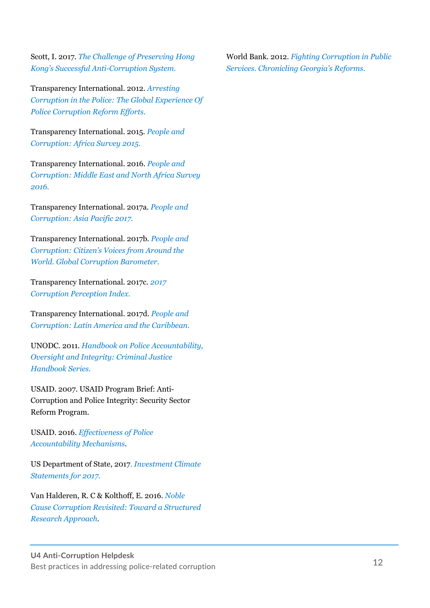Scott, I. 2017. *The Challenge of Preserving Hong Kong's Successful Anti-Corruption Syste[m.](https://www.researchgate.net/publication/317135175_The_challenge_of_preserving_Hong_Kong)*

[Transparency International. 2012.](https://www.researchgate.net/publication/317135175_The_challenge_of_preserving_Hong_Kong) *Arresting [Corruption in the Police:](https://www.researchgate.net/publication/317135175_The_challenge_of_preserving_Hong_Kong) The Global Experience Of Police Corruption Reform Efforts[.](http://ti-defence.org/publications/arresting-corruption-in-the-police-the-global-experience-of-police-corruption-reform-efforts/)*

[Transparency International. 2015.](http://ti-defence.org/publications/arresting-corruption-in-the-police-the-global-experience-of-police-corruption-reform-efforts/) *People and [Corruption: Africa Survey 2015.](http://ti-defence.org/publications/arresting-corruption-in-the-police-the-global-experience-of-police-corruption-reform-efforts/)*

[Transparency](http://ti-defence.org/publications/arresting-corruption-in-the-police-the-global-experience-of-police-corruption-reform-efforts/) [International. 2016.](https://www.transparency.org/whatwedo/publication/people_and_corruption_africa_survey_2015) *People and Corruption: Middle East and North Africa Survey 201[6.](https://www.transparency.org/whatwedo/publication/people_and_corruption_mena_survey_2016)* 

[Transparency International. 2017a.](https://www.transparency.org/whatwedo/publication/people_and_corruption_mena_survey_2016) *People and [Corruption: As](https://www.transparency.org/whatwedo/publication/people_and_corruption_mena_survey_2016)ia Pacific 2017[.](https://www.transparency.org/whatwedo/publication/people_and_corruption_asia_pacific_global_corruption_barometer)*

[Transparency International. 2017b.](https://www.transparency.org/whatwedo/publication/people_and_corruption_asia_pacific_global_corruption_barometer) *People and Corruption: Citizen's Voices from Around the World. Global Corruption Barometer[.](https://www.transparency.org/whatwedo/publication/people_and_corruption_citizens_voices_from_around_the_world)*

[Transparency International. 2017c.](https://www.transparency.org/whatwedo/publication/people_and_corruption_citizens_voices_from_around_the_world) *2017 [Corruption Perception Index.](https://www.transparency.org/whatwedo/publication/people_and_corruption_citizens_voices_from_around_the_world)*

[Transparency Inter](https://www.transparency.org/whatwedo/publication/people_and_corruption_citizens_voices_from_around_the_world)[national. 201](https://www.transparency.org/news/feature/corruption_perceptions_index_2017)7d. *People and Corruption: Latin America and the Caribbean.* 

UNODC. 2011. *Handbook on Police Accountability, Oversight and Integrity: Criminal Justice Handbook Series[.](https://www.unodc.org/pdf/criminal_justice/Handbook_on_police_Accountability_Oversight_and_Integrity.pdf)*

[USAID. 2007. USAID Program Brief: Anti](https://www.unodc.org/pdf/criminal_justice/Handbook_on_police_Accountability_Oversight_and_Integrity.pdf)-[Corruption and Police Integrity: Security Sector](https://www.unodc.org/pdf/criminal_justice/Handbook_on_police_Accountability_Oversight_and_Integrity.pdf) [Ref](https://www.unodc.org/pdf/criminal_justice/Handbook_on_police_Accountability_Oversight_and_Integrity.pdf)orm Program.

USAID. 2016. *Effectiveness of Police Accountability Mechanisms*.

US Department of State, 2017. *Investment Climate Statements for 201[7.](https://www.state.gov/e/eb/rls/othr/ics/investmentclimatestatements/index.htm?year=2017&dlid=269902#wrapper)*

[Van Halderen, R. C & Kolthoff, E. 201](https://www.state.gov/e/eb/rls/othr/ics/investmentclimatestatements/index.htm?year=2017&dlid=269902#wrapper)6. *Noble Cause Corruption Revisited: Toward a Structured Research Approac[h.](https://www.researchgate.net/publication/309098195_Noble_Cause_Corruption_Revisited_Toward_a_Structured_Research_Approach)*

World Bank. 2012. *[Fighting Corruption in Public](https://www.researchgate.net/publication/309098195_Noble_Cause_Corruption_Revisited_Toward_a_Structured_Research_Approach) [Services. Chroniclin](https://www.researchgate.net/publication/309098195_Noble_Cause_Corruption_Revisited_Toward_a_Structured_Research_Approach)g Georgia's Reform[s.](http://documents.worldbank.org/curated/en/518301468256183463/pdf/664490PUB0EPI0065774B09780821394755.pdf)*